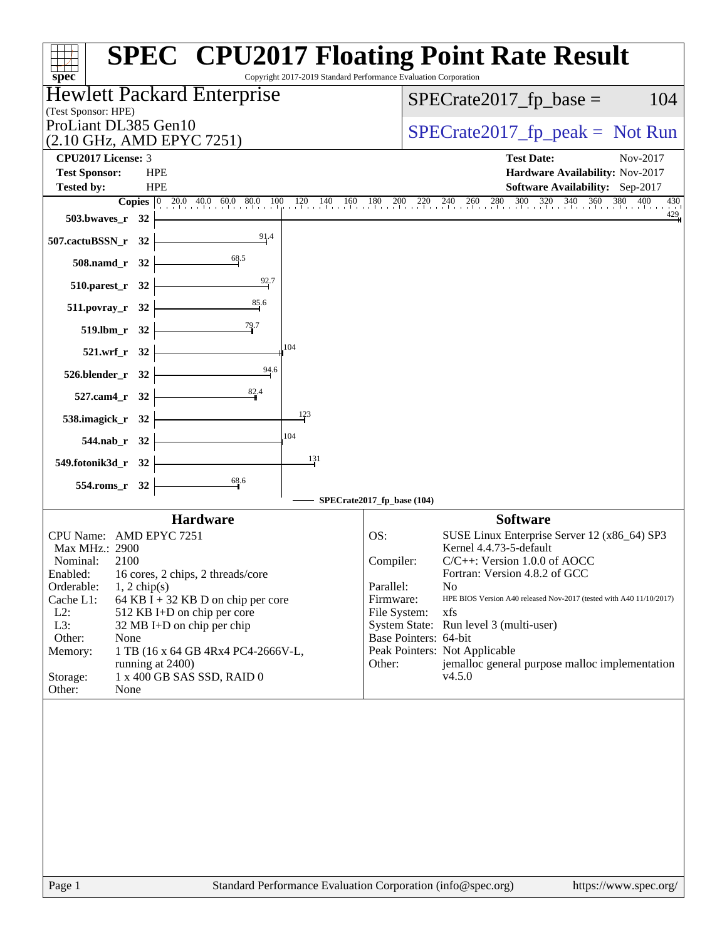| $spec^*$                                                       | <b>SPEC<sup>®</sup> CPU2017 Floating Point Rate Result</b><br>Copyright 2017-2019 Standard Performance Evaluation Corporation                                                                   |
|----------------------------------------------------------------|-------------------------------------------------------------------------------------------------------------------------------------------------------------------------------------------------|
| Hewlett Packard Enterprise                                     | $SPECrate2017_fp\_base =$<br>104                                                                                                                                                                |
| (Test Sponsor: HPE)<br>ProLiant DL385 Gen10                    |                                                                                                                                                                                                 |
| (2.10 GHz, AMD EPYC 7251)                                      | $SPECrate2017_fp\_peak = Not Run$                                                                                                                                                               |
| CPU2017 License: 3                                             | <b>Test Date:</b><br>Nov-2017                                                                                                                                                                   |
| <b>Test Sponsor:</b><br><b>HPE</b>                             | Hardware Availability: Nov-2017                                                                                                                                                                 |
| <b>HPE</b><br><b>Tested by:</b>                                | <b>Software Availability:</b> Sep-2017                                                                                                                                                          |
| <b>503.bwaves_r</b> 32                                         | <b>Copies</b> $\begin{bmatrix} 0 & 20.0 & 40.0 & 60.0 & 80.0 & 100 & 120 & 140 & 160 & 180 & 200 & 220 & 240 & 260 & 280 & 300 & 320 & 340 & 360 & 380 & 400 & 430 \end{bmatrix}$<br>430<br>429 |
| $\frac{91.4}{4}$<br>507.cactuBSSN_r 32                         |                                                                                                                                                                                                 |
| $508$ .namd_r 32                                               |                                                                                                                                                                                                 |
| 92.7<br>$510.parest_r$ 32                                      |                                                                                                                                                                                                 |
| 511.povray_r 32                                                |                                                                                                                                                                                                 |
| $519.1 \text{bm}_r 32$                                         |                                                                                                                                                                                                 |
| 104<br>$521.wrf_r$ 32                                          |                                                                                                                                                                                                 |
| $\frac{94.6}{9}$<br>$526.$ blender_r 32                        |                                                                                                                                                                                                 |
| 82.4<br>$527$ .cam4_r 32                                       |                                                                                                                                                                                                 |
| 123<br>538.imagick_r 32 $\vert$                                |                                                                                                                                                                                                 |
| 104<br>544.nab_r 32 $\vert$                                    |                                                                                                                                                                                                 |
| 131<br>549.fotonik3d_r 32                                      |                                                                                                                                                                                                 |
| 68.6<br>$554$ .roms_r 32                                       |                                                                                                                                                                                                 |
|                                                                | SPECrate2017_fp_base (104)                                                                                                                                                                      |
| <b>Hardware</b><br>CPU Name: AMD EPYC 7251                     | <b>Software</b><br>OS:<br>SUSE Linux Enterprise Server 12 (x86_64) SP3                                                                                                                          |
| Max MHz.: 2900                                                 | Kernel 4.4.73-5-default                                                                                                                                                                         |
| Nominal:<br>2100<br>Enabled: 16 cores, 2 chips, 2 threads/core | $C/C++$ : Version 1.0.0 of AOCC<br>Compiler:<br>Fortran: Version 4.8.2 of GCC                                                                                                                   |
| Orderable:<br>$1, 2$ chip(s)                                   | Parallel:<br>No                                                                                                                                                                                 |
| Cache L1:<br>64 KB I + 32 KB D on chip per core                | HPE BIOS Version A40 released Nov-2017 (tested with A40 11/10/2017)<br>Firmware:                                                                                                                |
| $L2$ :<br>512 KB I+D on chip per core                          | File System:<br>xfs                                                                                                                                                                             |
| L3:<br>32 MB I+D on chip per chip<br>Other:<br>None            | System State: Run level 3 (multi-user)<br>Base Pointers: 64-bit                                                                                                                                 |
| 1 TB (16 x 64 GB 4Rx4 PC4-2666V-L,<br>Memory:                  | Peak Pointers: Not Applicable                                                                                                                                                                   |
| running at 2400)                                               | Other:<br>jemalloc general purpose malloc implementation                                                                                                                                        |
| Storage:<br>1 x 400 GB SAS SSD, RAID 0<br>Other:<br>None       | v4.5.0                                                                                                                                                                                          |
|                                                                |                                                                                                                                                                                                 |
|                                                                |                                                                                                                                                                                                 |
| Page 1                                                         | Standard Performance Evaluation Corporation (info@spec.org)<br>https://www.spec.org/                                                                                                            |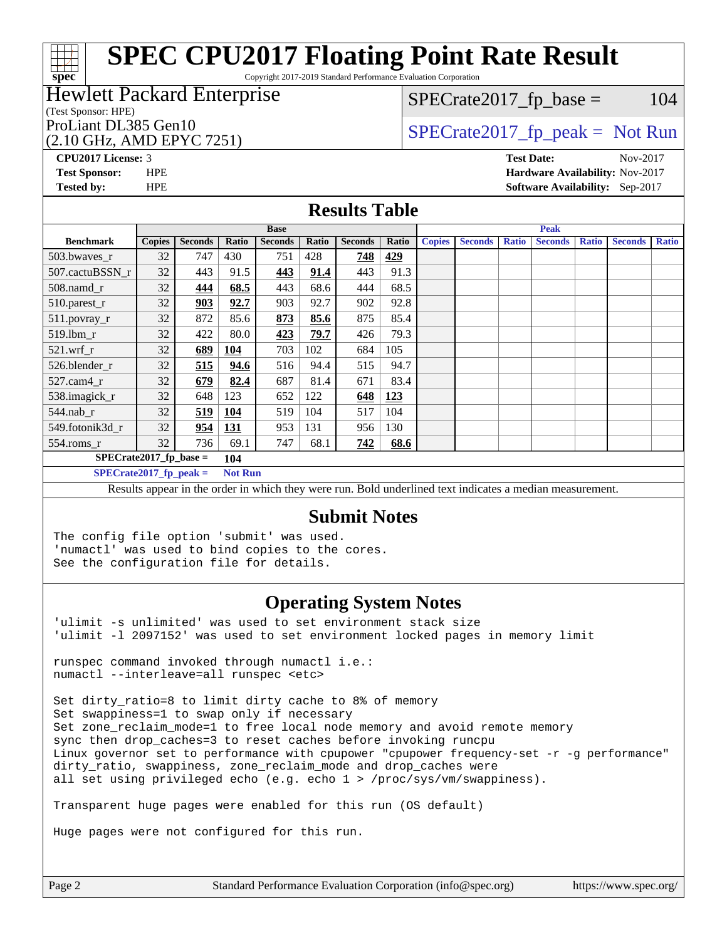Copyright 2017-2019 Standard Performance Evaluation Corporation

### Hewlett Packard Enterprise

#### (Test Sponsor: HPE)

### (2.10 GHz, AMD EPYC 7251)

 $SPECTate2017<sub>fr</sub> base = 104$ 

### ProLiant DL385 Gen10  $SPECTR = 10$   $SPECTR = 2017$  fp\_peak = Not Run

**[CPU2017 License:](http://www.spec.org/auto/cpu2017/Docs/result-fields.html#CPU2017License)** 3 **[Test Date:](http://www.spec.org/auto/cpu2017/Docs/result-fields.html#TestDate)** Nov-2017

**[spec](http://www.spec.org/)**

**[Test Sponsor:](http://www.spec.org/auto/cpu2017/Docs/result-fields.html#TestSponsor)** HPE **[Hardware Availability:](http://www.spec.org/auto/cpu2017/Docs/result-fields.html#HardwareAvailability)** Nov-2017 **[Tested by:](http://www.spec.org/auto/cpu2017/Docs/result-fields.html#Testedby)** HPE **[Software Availability:](http://www.spec.org/auto/cpu2017/Docs/result-fields.html#SoftwareAvailability)** Sep-2017

#### **[Results Table](http://www.spec.org/auto/cpu2017/Docs/result-fields.html#ResultsTable)**

| <b>Base</b>               |               |                |                |                |       |                |       | <b>Peak</b>   |                |              |                |              |                |              |
|---------------------------|---------------|----------------|----------------|----------------|-------|----------------|-------|---------------|----------------|--------------|----------------|--------------|----------------|--------------|
|                           |               |                |                |                |       |                |       |               |                |              |                |              |                |              |
| <b>Benchmark</b>          | <b>Copies</b> | <b>Seconds</b> | Ratio          | <b>Seconds</b> | Ratio | <b>Seconds</b> | Ratio | <b>Copies</b> | <b>Seconds</b> | <b>Ratio</b> | <b>Seconds</b> | <b>Ratio</b> | <b>Seconds</b> | <b>Ratio</b> |
| 503.bwaves_r              | 32            | 747            | 430            | 751            | 428   | 748            | 429   |               |                |              |                |              |                |              |
| 507.cactuBSSN r           | 32            | 443            | 91.5           | 443            | 91.4  | 443            | 91.3  |               |                |              |                |              |                |              |
| 508.namd_r                | 32            | 444            | 68.5           | 443            | 68.6  | 444            | 68.5  |               |                |              |                |              |                |              |
| 510.parest_r              | 32            | 903            | 92.7           | 903            | 92.7  | 902            | 92.8  |               |                |              |                |              |                |              |
| 511.povray_r              | 32            | 872            | 85.6           | 873            | 85.6  | 875            | 85.4  |               |                |              |                |              |                |              |
| 519.lbm_r                 | 32            | 422            | 80.0           | 423            | 79.7  | 426            | 79.3  |               |                |              |                |              |                |              |
| $521.wrf_r$               | 32            | 689            | 104            | 703            | 102   | 684            | 105   |               |                |              |                |              |                |              |
| 526.blender r             | 32            | 515            | 94.6           | 516            | 94.4  | 515            | 94.7  |               |                |              |                |              |                |              |
| $527$ .cam $4r$           | 32            | 679            | 82.4           | 687            | 81.4  | 671            | 83.4  |               |                |              |                |              |                |              |
| 538.imagick_r             | 32            | 648            | 123            | 652            | 122   | 648            | 123   |               |                |              |                |              |                |              |
| $544$ .nab_r              | 32            | 519            | 104            | 519            | 104   | 517            | 104   |               |                |              |                |              |                |              |
| 549.fotonik3d r           | 32            | 954            | 131            | 953            | 131   | 956            | 130   |               |                |              |                |              |                |              |
| $554$ .roms_r             | 32            | 736            | 69.1           | 747            | 68.1  | 742            | 68.6  |               |                |              |                |              |                |              |
| $SPECrate2017_fp\_base =$ |               |                | 104            |                |       |                |       |               |                |              |                |              |                |              |
| $SPECrate2017$ fp peak =  |               |                | <b>Not Run</b> |                |       |                |       |               |                |              |                |              |                |              |

Results appear in the [order in which they were run.](http://www.spec.org/auto/cpu2017/Docs/result-fields.html#RunOrder) Bold underlined text [indicates a median measurement.](http://www.spec.org/auto/cpu2017/Docs/result-fields.html#Median)

#### **[Submit Notes](http://www.spec.org/auto/cpu2017/Docs/result-fields.html#SubmitNotes)**

The config file option 'submit' was used. 'numactl' was used to bind copies to the cores. See the configuration file for details.

### **[Operating System Notes](http://www.spec.org/auto/cpu2017/Docs/result-fields.html#OperatingSystemNotes)**

'ulimit -s unlimited' was used to set environment stack size 'ulimit -l 2097152' was used to set environment locked pages in memory limit

runspec command invoked through numactl i.e.: numactl --interleave=all runspec <etc>

Set dirty\_ratio=8 to limit dirty cache to 8% of memory Set swappiness=1 to swap only if necessary Set zone\_reclaim\_mode=1 to free local node memory and avoid remote memory sync then drop\_caches=3 to reset caches before invoking runcpu Linux governor set to performance with cpupower "cpupower frequency-set -r -g performance" dirty\_ratio, swappiness, zone\_reclaim\_mode and drop\_caches were all set using privileged echo (e.g. echo 1 > /proc/sys/vm/swappiness).

Transparent huge pages were enabled for this run (OS default)

Huge pages were not configured for this run.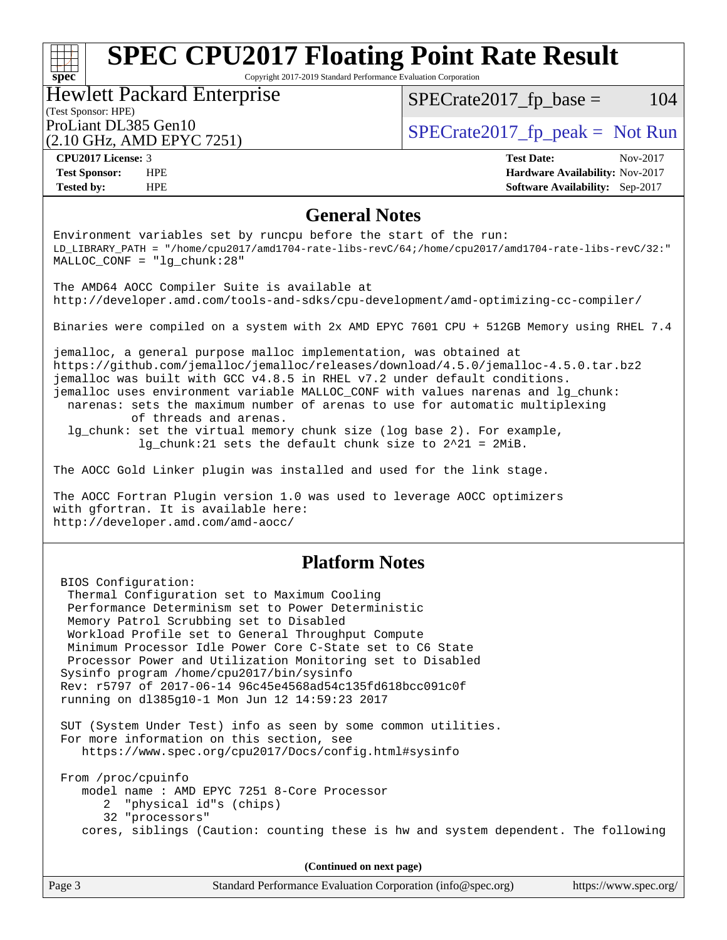Copyright 2017-2019 Standard Performance Evaluation Corporation

#### (Test Sponsor: HPE) Hewlett Packard Enterprise (2.10 GHz, AMD EPYC 7251) ProLiant DL385 Gen10  $SPECTA 2017$   $\int$  SPECrate2017  $\int$  peak = Not Run

 $SPECTate2017<sub>fr</sub> base = 104$ 

| CPU <sub>2017</sub> License: 3 |     |
|--------------------------------|-----|
| <b>Test Sponsor:</b>           | HPE |
|                                |     |

**[spec](http://www.spec.org/)**

**[CPU2017 License:](http://www.spec.org/auto/cpu2017/Docs/result-fields.html#CPU2017License)** 3 **[Test Date:](http://www.spec.org/auto/cpu2017/Docs/result-fields.html#TestDate)** Nov-2017 **[Hardware Availability:](http://www.spec.org/auto/cpu2017/Docs/result-fields.html#HardwareAvailability)** Nov-2017 **[Tested by:](http://www.spec.org/auto/cpu2017/Docs/result-fields.html#Testedby)** HPE **[Software Availability:](http://www.spec.org/auto/cpu2017/Docs/result-fields.html#SoftwareAvailability)** Sep-2017

### **[General Notes](http://www.spec.org/auto/cpu2017/Docs/result-fields.html#GeneralNotes)**

Environment variables set by runcpu before the start of the run: LD\_LIBRARY\_PATH = "/home/cpu2017/amd1704-rate-libs-revC/64;/home/cpu2017/amd1704-rate-libs-revC/32:" MALLOC\_CONF = "lg\_chunk:28" The AMD64 AOCC Compiler Suite is available at <http://developer.amd.com/tools-and-sdks/cpu-development/amd-optimizing-cc-compiler/> Binaries were compiled on a system with 2x AMD EPYC 7601 CPU + 512GB Memory using RHEL 7.4 jemalloc, a general purpose malloc implementation, was obtained at <https://github.com/jemalloc/jemalloc/releases/download/4.5.0/jemalloc-4.5.0.tar.bz2> jemalloc was built with GCC v4.8.5 in RHEL v7.2 under default conditions. jemalloc uses environment variable MALLOC\_CONF with values narenas and lg\_chunk: narenas: sets the maximum number of arenas to use for automatic multiplexing of threads and arenas. lg\_chunk: set the virtual memory chunk size (log base 2). For example, lg\_chunk:21 sets the default chunk size to 2^21 = 2MiB. The AOCC Gold Linker plugin was installed and used for the link stage. The AOCC Fortran Plugin version 1.0 was used to leverage AOCC optimizers with gfortran. It is available here: <http://developer.amd.com/amd-aocc/> **[Platform Notes](http://www.spec.org/auto/cpu2017/Docs/result-fields.html#PlatformNotes)** BIOS Configuration: Thermal Configuration set to Maximum Cooling Performance Determinism set to Power Deterministic Memory Patrol Scrubbing set to Disabled Workload Profile set to General Throughput Compute Minimum Processor Idle Power Core C-State set to C6 State Processor Power and Utilization Monitoring set to Disabled Sysinfo program /home/cpu2017/bin/sysinfo Rev: r5797 of 2017-06-14 96c45e4568ad54c135fd618bcc091c0f running on dl385g10-1 Mon Jun 12 14:59:23 2017 SUT (System Under Test) info as seen by some common utilities. For more information on this section, see <https://www.spec.org/cpu2017/Docs/config.html#sysinfo> From /proc/cpuinfo model name : AMD EPYC 7251 8-Core Processor 2 "physical id"s (chips) 32 "processors" cores, siblings (Caution: counting these is hw and system dependent. The following **(Continued on next page)**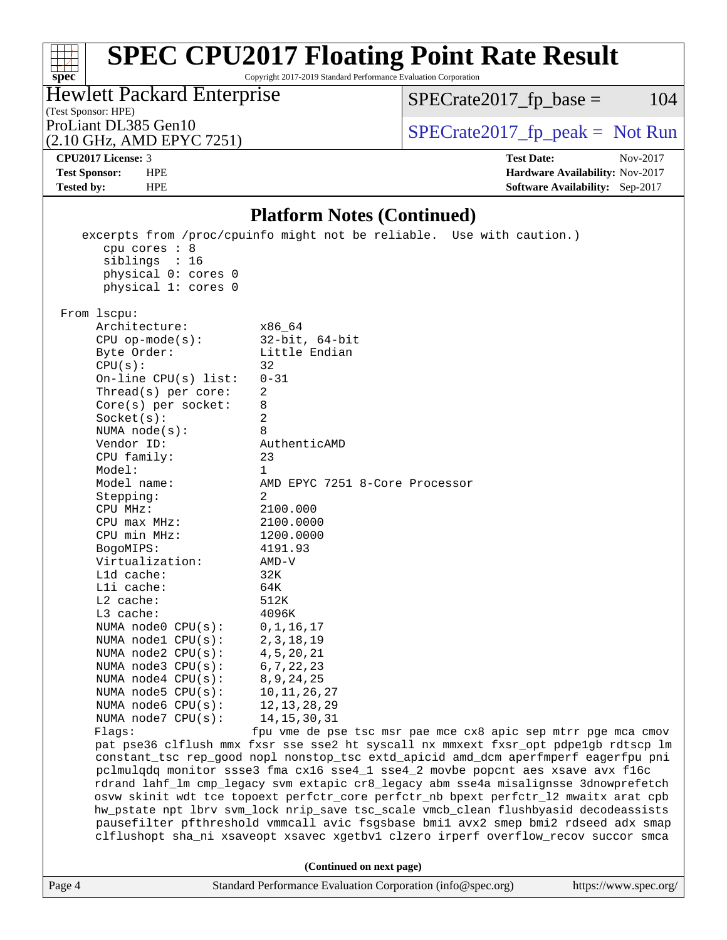Copyright 2017-2019 Standard Performance Evaluation Corporation

(Test Sponsor: HPE) Hewlett Packard Enterprise

 $SPECTate2017<sub>fr</sub> base = 104$ 

(2.10 GHz, AMD EPYC 7251)

ProLiant DL385 Gen10  $SPECTR = 10$   $SPECTR = 2017$  fp\_peak = Not Run

**[spec](http://www.spec.org/)**

 $\pm\tau$ 

**[CPU2017 License:](http://www.spec.org/auto/cpu2017/Docs/result-fields.html#CPU2017License)** 3 **[Test Date:](http://www.spec.org/auto/cpu2017/Docs/result-fields.html#TestDate)** Nov-2017 **[Test Sponsor:](http://www.spec.org/auto/cpu2017/Docs/result-fields.html#TestSponsor)** HPE **[Hardware Availability:](http://www.spec.org/auto/cpu2017/Docs/result-fields.html#HardwareAvailability)** Nov-2017 **[Tested by:](http://www.spec.org/auto/cpu2017/Docs/result-fields.html#Testedby)** HPE **[Software Availability:](http://www.spec.org/auto/cpu2017/Docs/result-fields.html#SoftwareAvailability)** Sep-2017

#### **[Platform Notes \(Continued\)](http://www.spec.org/auto/cpu2017/Docs/result-fields.html#PlatformNotes)**

Page 4 Standard Performance Evaluation Corporation [\(info@spec.org\)](mailto:info@spec.org) <https://www.spec.org/> excerpts from /proc/cpuinfo might not be reliable. Use with caution.) cpu cores : 8 siblings : 16 physical 0: cores 0 physical 1: cores 0 From lscpu: Architecture: x86\_64 CPU op-mode(s): 32-bit, 64-bit Byte Order: Little Endian  $CPU(s):$  32 On-line CPU(s) list: 0-31 Thread(s) per core: 2 Core(s) per socket: 8 Socket(s): 2 NUMA node(s): 8 Vendor ID: AuthenticAMD CPU family: 23 Model: 1 Model name: AMD EPYC 7251 8-Core Processor Stepping: 2 CPU MHz: 2100.000 CPU max MHz: 2100.0000 CPU min MHz:  $1200.0000$ <br>BogoMIPS:  $4191.93$ BogoMIPS: Virtualization: AMD-V L1d cache: 32K L1i cache: 64K L2 cache: 512K L3 cache: 4096K<br>NUMA node0 CPU(s): 0,1,16,17 NUMA node0 CPU(s): NUMA node1 CPU(s): 2,3,18,19 NUMA node2 CPU(s): 4,5,20,21 NUMA node3 CPU(s): 6,7,22,23 NUMA node4 CPU(s): 8,9,24,25 NUMA node5 CPU(s): 10,11,26,27 NUMA node6 CPU(s): 12,13,28,29 NUMA node7 CPU(s): 14,15,30,31 Flags: fpu vme de pse tsc msr pae mce cx8 apic sep mtrr pge mca cmov pat pse36 clflush mmx fxsr sse sse2 ht syscall nx mmxext fxsr\_opt pdpe1gb rdtscp lm constant\_tsc rep\_good nopl nonstop\_tsc extd\_apicid amd\_dcm aperfmperf eagerfpu pni pclmulqdq monitor ssse3 fma cx16 sse4\_1 sse4\_2 movbe popcnt aes xsave avx f16c rdrand lahf\_lm cmp\_legacy svm extapic cr8\_legacy abm sse4a misalignsse 3dnowprefetch osvw skinit wdt tce topoext perfctr\_core perfctr\_nb bpext perfctr\_l2 mwaitx arat cpb hw\_pstate npt lbrv svm\_lock nrip\_save tsc\_scale vmcb\_clean flushbyasid decodeassists pausefilter pfthreshold vmmcall avic fsgsbase bmi1 avx2 smep bmi2 rdseed adx smap clflushopt sha\_ni xsaveopt xsavec xgetbv1 clzero irperf overflow\_recov succor smca **(Continued on next page)**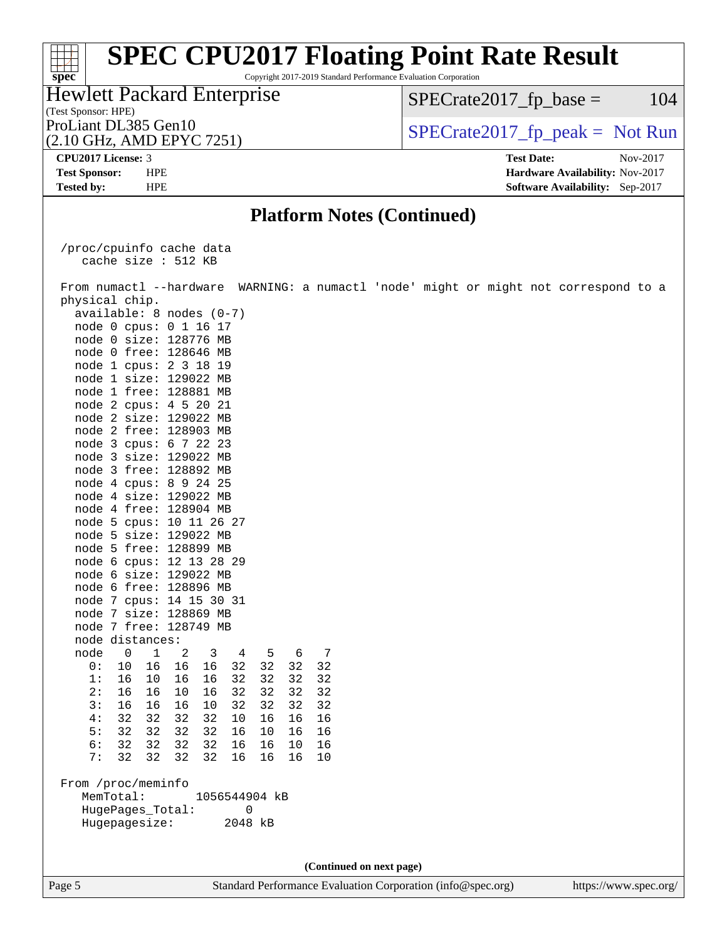Copyright 2017-2019 Standard Performance Evaluation Corporation

#### (Test Sponsor: HPE) Hewlett Packard Enterprise (2.10 GHz, AMD EPYC 7251) ProLiant DL385 Gen10  $SPECTR = 2017$  Spectrate 2017\_fp\_peak = Not Run

 $SPECTate2017<sub>fr</sub> base = 104$ 

**[spec](http://www.spec.org/)**<sup>®</sup>

**[Tested by:](http://www.spec.org/auto/cpu2017/Docs/result-fields.html#Testedby)** HPE **[Software Availability:](http://www.spec.org/auto/cpu2017/Docs/result-fields.html#SoftwareAvailability)** Sep-2017

**[CPU2017 License:](http://www.spec.org/auto/cpu2017/Docs/result-fields.html#CPU2017License)** 3 **[Test Date:](http://www.spec.org/auto/cpu2017/Docs/result-fields.html#TestDate)** Nov-2017 **[Test Sponsor:](http://www.spec.org/auto/cpu2017/Docs/result-fields.html#TestSponsor)** HPE **[Hardware Availability:](http://www.spec.org/auto/cpu2017/Docs/result-fields.html#HardwareAvailability)** Nov-2017

### **[Platform Notes \(Continued\)](http://www.spec.org/auto/cpu2017/Docs/result-fields.html#PlatformNotes)**

 /proc/cpuinfo cache data cache size : 512 KB

Page 5 Standard Performance Evaluation Corporation [\(info@spec.org\)](mailto:info@spec.org) <https://www.spec.org/> From numactl --hardware WARNING: a numactl 'node' might or might not correspond to a physical chip. available: 8 nodes (0-7) node 0 cpus: 0 1 16 17 node 0 size: 128776 MB node 0 free: 128646 MB node 1 cpus: 2 3 18 19 node 1 size: 129022 MB node 1 free: 128881 MB node 2 cpus: 4 5 20 21 node 2 size: 129022 MB node 2 free: 128903 MB node 3 cpus: 6 7 22 23 node 3 size: 129022 MB node 3 free: 128892 MB node 4 cpus: 8 9 24 25 node 4 size: 129022 MB node 4 free: 128904 MB node 5 cpus: 10 11 26 27 node 5 size: 129022 MB node 5 free: 128899 MB node 6 cpus: 12 13 28 29 node 6 size: 129022 MB node 6 free: 128896 MB node 7 cpus: 14 15 30 31 node 7 size: 128869 MB node 7 free: 128749 MB node distances: node 0 1 2 3 4 5 6 7 0: 10 16 16 16 32 32 32 32 1: 16 10 16 16 32 32 32 32 2: 16 16 10 16 32 32 32 32 3: 16 16 16 10 32 32 32 32 4: 32 32 32 32 10 16 16 16 5: 32 32 32 32 16 10 16 16 6: 32 32 32 32 16 16 10 16 7: 32 32 32 32 16 16 16 10 From /proc/meminfo MemTotal: 1056544904 kB HugePages\_Total: 0 Hugepagesize: 2048 kB **(Continued on next page)**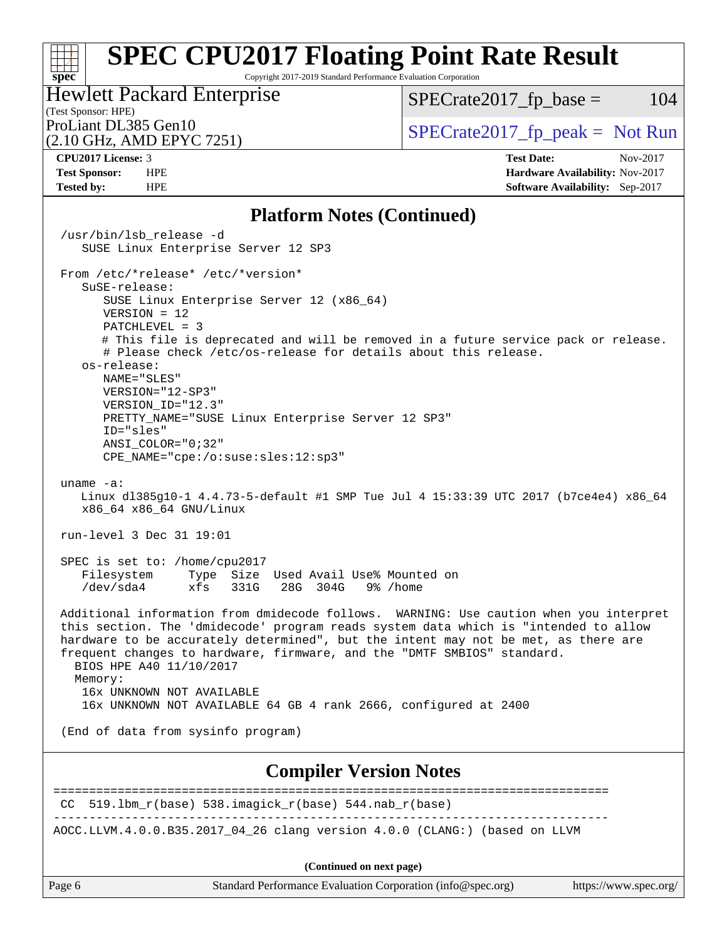Copyright 2017-2019 Standard Performance Evaluation Corporation

### (Test Sponsor: HPE) Hewlett Packard Enterprise

 $SPECTate2017<sub>fr</sub> base = 104$ 

(2.10 GHz, AMD EPYC 7251)

ProLiant DL385 Gen10  $SPECTR = 2017$  Spectrate 2017\_fp\_peak = Not Run

**[spec](http://www.spec.org/)**

 $\pm r$ 

**[CPU2017 License:](http://www.spec.org/auto/cpu2017/Docs/result-fields.html#CPU2017License)** 3 **[Test Date:](http://www.spec.org/auto/cpu2017/Docs/result-fields.html#TestDate)** Nov-2017 **[Test Sponsor:](http://www.spec.org/auto/cpu2017/Docs/result-fields.html#TestSponsor)** HPE **[Hardware Availability:](http://www.spec.org/auto/cpu2017/Docs/result-fields.html#HardwareAvailability)** Nov-2017 **[Tested by:](http://www.spec.org/auto/cpu2017/Docs/result-fields.html#Testedby)** HPE **[Software Availability:](http://www.spec.org/auto/cpu2017/Docs/result-fields.html#SoftwareAvailability)** Sep-2017

#### **[Platform Notes \(Continued\)](http://www.spec.org/auto/cpu2017/Docs/result-fields.html#PlatformNotes)**

Page 6 Standard Performance Evaluation Corporation [\(info@spec.org\)](mailto:info@spec.org) <https://www.spec.org/> /usr/bin/lsb\_release -d SUSE Linux Enterprise Server 12 SP3 From /etc/\*release\* /etc/\*version\* SuSE-release: SUSE Linux Enterprise Server 12 (x86\_64) VERSION = 12 PATCHLEVEL = 3 # This file is deprecated and will be removed in a future service pack or release. # Please check /etc/os-release for details about this release. os-release: NAME="SLES" VERSION="12-SP3" VERSION\_ID="12.3" PRETTY\_NAME="SUSE Linux Enterprise Server 12 SP3" ID="sles" ANSI\_COLOR="0;32" CPE\_NAME="cpe:/o:suse:sles:12:sp3" uname -a: Linux dl385g10-1 4.4.73-5-default #1 SMP Tue Jul 4 15:33:39 UTC 2017 (b7ce4e4) x86\_64 x86\_64 x86\_64 GNU/Linux run-level 3 Dec 31 19:01 SPEC is set to: /home/cpu2017 Filesystem Type Size Used Avail Use% Mounted on /dev/sda4 xfs 331G 28G 304G 9% /home Additional information from dmidecode follows. WARNING: Use caution when you interpret this section. The 'dmidecode' program reads system data which is "intended to allow hardware to be accurately determined", but the intent may not be met, as there are frequent changes to hardware, firmware, and the "DMTF SMBIOS" standard. BIOS HPE A40 11/10/2017 Memory: 16x UNKNOWN NOT AVAILABLE 16x UNKNOWN NOT AVAILABLE 64 GB 4 rank 2666, configured at 2400 (End of data from sysinfo program) **[Compiler Version Notes](http://www.spec.org/auto/cpu2017/Docs/result-fields.html#CompilerVersionNotes)** ==============================================================================  $CC$  519.1bm\_ $r(base)$  538.imagick\_ $r(base)$  544.nab\_ $r(base)$ ------------------------------------------------------------------------------ AOCC.LLVM.4.0.0.B35.2017\_04\_26 clang version 4.0.0 (CLANG:) (based on LLVM **(Continued on next page)**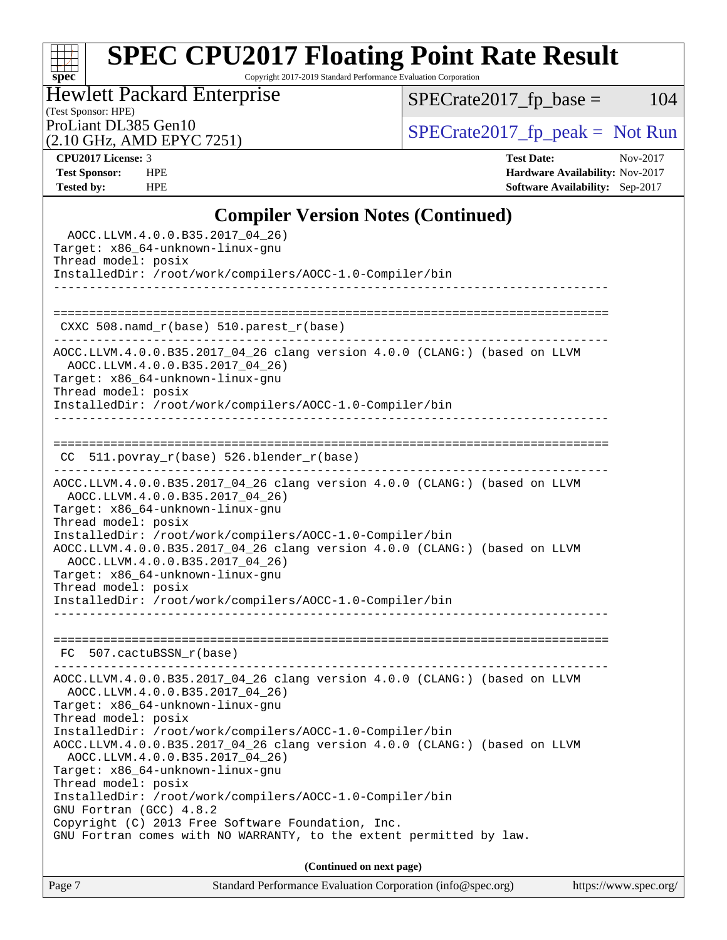Copyright 2017-2019 Standard Performance Evaluation Corporation

(Test Sponsor: HPE) Hewlett Packard Enterprise

 $SPECrate2017_fp\_base = 104$ 

(2.10 GHz, AMD EPYC 7251)

ProLiant DL385 Gen10<br>  $(2.10 \text{ GHz}$  AMD EPYC 7251) [SPECrate2017\\_fp\\_peak =](http://www.spec.org/auto/cpu2017/Docs/result-fields.html#SPECrate2017fppeak) Not Run

**[spec](http://www.spec.org/)**

**[CPU2017 License:](http://www.spec.org/auto/cpu2017/Docs/result-fields.html#CPU2017License)** 3 **[Test Date:](http://www.spec.org/auto/cpu2017/Docs/result-fields.html#TestDate)** Nov-2017 **[Test Sponsor:](http://www.spec.org/auto/cpu2017/Docs/result-fields.html#TestSponsor)** HPE **[Hardware Availability:](http://www.spec.org/auto/cpu2017/Docs/result-fields.html#HardwareAvailability)** Nov-2017 **[Tested by:](http://www.spec.org/auto/cpu2017/Docs/result-fields.html#Testedby)** HPE **[Software Availability:](http://www.spec.org/auto/cpu2017/Docs/result-fields.html#SoftwareAvailability)** Sep-2017

### **[Compiler Version Notes \(Continued\)](http://www.spec.org/auto/cpu2017/Docs/result-fields.html#CompilerVersionNotes)**

| Standard Performance Evaluation Corporation (info@spec.org)<br>Page 7<br>https://www.spec.org/                |  |
|---------------------------------------------------------------------------------------------------------------|--|
| (Continued on next page)                                                                                      |  |
| GNU Fortran comes with NO WARRANTY, to the extent permitted by law.                                           |  |
| Copyright (C) 2013 Free Software Foundation, Inc.                                                             |  |
| GNU Fortran (GCC) 4.8.2                                                                                       |  |
| InstalledDir: /root/work/compilers/AOCC-1.0-Compiler/bin                                                      |  |
| Thread model: posix                                                                                           |  |
| Target: x86_64-unknown-linux-gnu                                                                              |  |
| AOCC.LLVM.4.0.0.B35.2017_04_26 clang version 4.0.0 (CLANG:) (based on LLVM<br>AOCC.LLVM.4.0.0.B35.2017_04_26) |  |
| InstalledDir: /root/work/compilers/AOCC-1.0-Compiler/bin                                                      |  |
| Thread model: posix                                                                                           |  |
| Target: x86_64-unknown-linux-gnu                                                                              |  |
| AOCC.LLVM.4.0.0.B35.2017_04_26 clang version 4.0.0 (CLANG:) (based on LLVM<br>AOCC.LLVM.4.0.0.B35.2017_04_26) |  |
|                                                                                                               |  |
| FC 507.cactuBSSN_r(base)                                                                                      |  |
|                                                                                                               |  |
|                                                                                                               |  |
| InstalledDir: /root/work/compilers/AOCC-1.0-Compiler/bin                                                      |  |
| Thread model: posix                                                                                           |  |
| Target: x86_64-unknown-linux-gnu                                                                              |  |
| AOCC.LLVM.4.0.0.B35.2017_04_26)                                                                               |  |
| AOCC.LLVM.4.0.0.B35.2017_04_26 clang version 4.0.0 (CLANG:) (based on LLVM                                    |  |
| Thread model: posix<br>InstalledDir: /root/work/compilers/AOCC-1.0-Compiler/bin                               |  |
| Target: x86_64-unknown-linux-gnu                                                                              |  |
| AOCC.LLVM.4.0.0.B35.2017_04_26)                                                                               |  |
| AOCC.LLVM.4.0.0.B35.2017_04_26 clang version 4.0.0 (CLANG:) (based on LLVM                                    |  |
| CC 511.povray_r(base) 526.blender_r(base)                                                                     |  |
|                                                                                                               |  |
|                                                                                                               |  |
| InstalledDir: /root/work/compilers/AOCC-1.0-Compiler/bin                                                      |  |
| Thread model: posix                                                                                           |  |
| Target: x86_64-unknown-linux-gnu                                                                              |  |
| AOCC.LLVM.4.0.0.B35.2017_04_26)                                                                               |  |
| AOCC.LLVM.4.0.0.B35.2017_04_26 clang version 4.0.0 (CLANG:) (based on LLVM                                    |  |
| CXXC 508.namd_r(base) 510.parest_r(base)                                                                      |  |
|                                                                                                               |  |
|                                                                                                               |  |
| InstalledDir: /root/work/compilers/AOCC-1.0-Compiler/bin                                                      |  |
| Thread model: posix                                                                                           |  |
| Target: x86_64-unknown-linux-gnu                                                                              |  |
| AOCC.LLVM.4.0.0.B35.2017_04_26)                                                                               |  |
|                                                                                                               |  |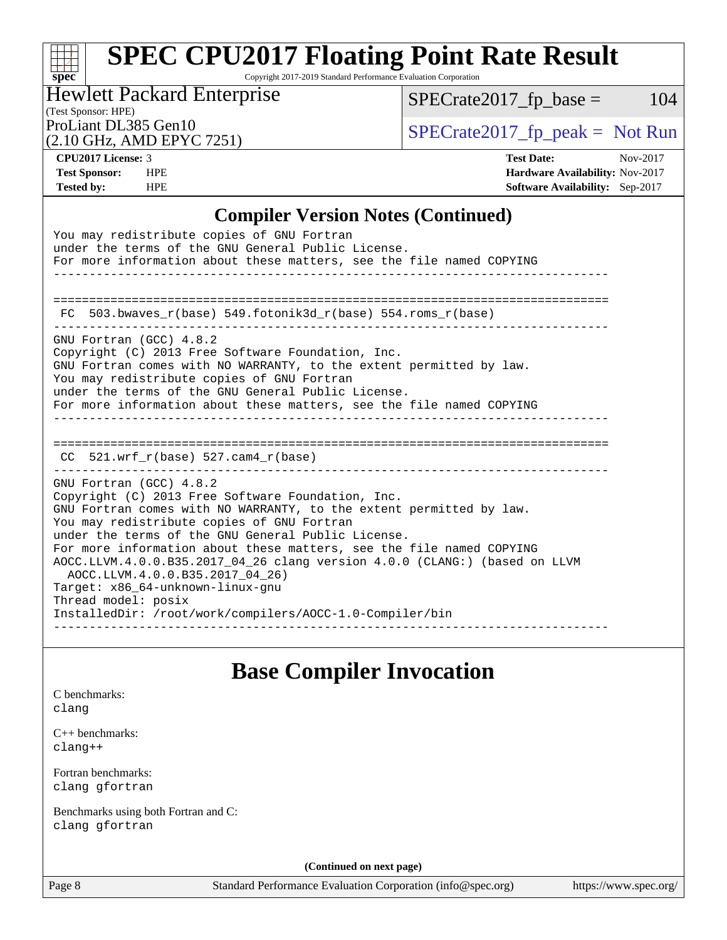Copyright 2017-2019 Standard Performance Evaluation Corporation

(Test Sponsor: HPE) Hewlett Packard Enterprise

 $SPECrate2017_fp\_base = 104$ 

(2.10 GHz, AMD EPYC 7251)

**[Tested by:](http://www.spec.org/auto/cpu2017/Docs/result-fields.html#Testedby)** HPE **[Software Availability:](http://www.spec.org/auto/cpu2017/Docs/result-fields.html#SoftwareAvailability)** Sep-2017

**[spec](http://www.spec.org/)**

ProLiant DL385 Gen10  $SPECTR 10$   $SPECTR 2017$   $fp$  peak = Not Run

**[CPU2017 License:](http://www.spec.org/auto/cpu2017/Docs/result-fields.html#CPU2017License)** 3 **[Test Date:](http://www.spec.org/auto/cpu2017/Docs/result-fields.html#TestDate)** Nov-2017 **[Test Sponsor:](http://www.spec.org/auto/cpu2017/Docs/result-fields.html#TestSponsor)** HPE **[Hardware Availability:](http://www.spec.org/auto/cpu2017/Docs/result-fields.html#HardwareAvailability)** Nov-2017

### **[Compiler Version Notes \(Continued\)](http://www.spec.org/auto/cpu2017/Docs/result-fields.html#CompilerVersionNotes)**

| You may redistribute copies of GNU Fortran<br>under the terms of the GNU General Public License.<br>For more information about these matters, see the file named COPYING                                                                                                                                                                                                                                                                                                                                                                                                |
|-------------------------------------------------------------------------------------------------------------------------------------------------------------------------------------------------------------------------------------------------------------------------------------------------------------------------------------------------------------------------------------------------------------------------------------------------------------------------------------------------------------------------------------------------------------------------|
| FC 503.bwaves $r(base)$ 549.fotonik3d $r(base)$ 554.roms $r(base)$                                                                                                                                                                                                                                                                                                                                                                                                                                                                                                      |
| GNU Fortran (GCC) 4.8.2<br>Copyright (C) 2013 Free Software Foundation, Inc.<br>GNU Fortran comes with NO WARRANTY, to the extent permitted by law.<br>You may redistribute copies of GNU Fortran<br>under the terms of the GNU General Public License.<br>For more information about these matters, see the file named COPYING                                                                                                                                                                                                                                         |
| $CC$ 521.wrf $r(base)$ 527.cam4 $r(base)$                                                                                                                                                                                                                                                                                                                                                                                                                                                                                                                               |
| GNU Fortran (GCC) 4.8.2<br>Copyright (C) 2013 Free Software Foundation, Inc.<br>GNU Fortran comes with NO WARRANTY, to the extent permitted by law.<br>You may redistribute copies of GNU Fortran<br>under the terms of the GNU General Public License.<br>For more information about these matters, see the file named COPYING<br>AOCC.LLVM.4.0.0.B35.2017_04_26 clang version 4.0.0 (CLANG:) (based on LLVM<br>AOCC.LLVM.4.0.0.B35.2017_04_26)<br>Target: x86 64-unknown-linux-gnu<br>Thread model: posix<br>InstalledDir: /root/work/compilers/AOCC-1.0-Compiler/bin |

### **[Base Compiler Invocation](http://www.spec.org/auto/cpu2017/Docs/result-fields.html#BaseCompilerInvocation)**

|       | C benchmarks: |  |
|-------|---------------|--|
| clang |               |  |
|       |               |  |

[C++ benchmarks:](http://www.spec.org/auto/cpu2017/Docs/result-fields.html#CXXbenchmarks) [clang++](http://www.spec.org/cpu2017/results/res2018q1/cpu2017-20171212-01650.flags.html#user_CXXbase_Fclang3_57a48582e5be507d19b2527b3e7d4f85d9b8669ffc9a8a0dbb9bcf949a918a58bbab411e0c4d14a3922022a3e425a90db94042683824c1806feff4324ca1000d)

[Fortran benchmarks](http://www.spec.org/auto/cpu2017/Docs/result-fields.html#Fortranbenchmarks): [clang](http://www.spec.org/cpu2017/results/res2018q1/cpu2017-20171212-01650.flags.html#user_FCbase_Fclang3) [gfortran](http://www.spec.org/cpu2017/results/res2018q1/cpu2017-20171212-01650.flags.html#user_FCbase_gfortran)

[Benchmarks using both Fortran and C](http://www.spec.org/auto/cpu2017/Docs/result-fields.html#BenchmarksusingbothFortranandC): [clang](http://www.spec.org/cpu2017/results/res2018q1/cpu2017-20171212-01650.flags.html#user_CC_FCbase_Fclang3) [gfortran](http://www.spec.org/cpu2017/results/res2018q1/cpu2017-20171212-01650.flags.html#user_CC_FCbase_gfortran)

**(Continued on next page)**

Page 8 Standard Performance Evaluation Corporation [\(info@spec.org\)](mailto:info@spec.org) <https://www.spec.org/>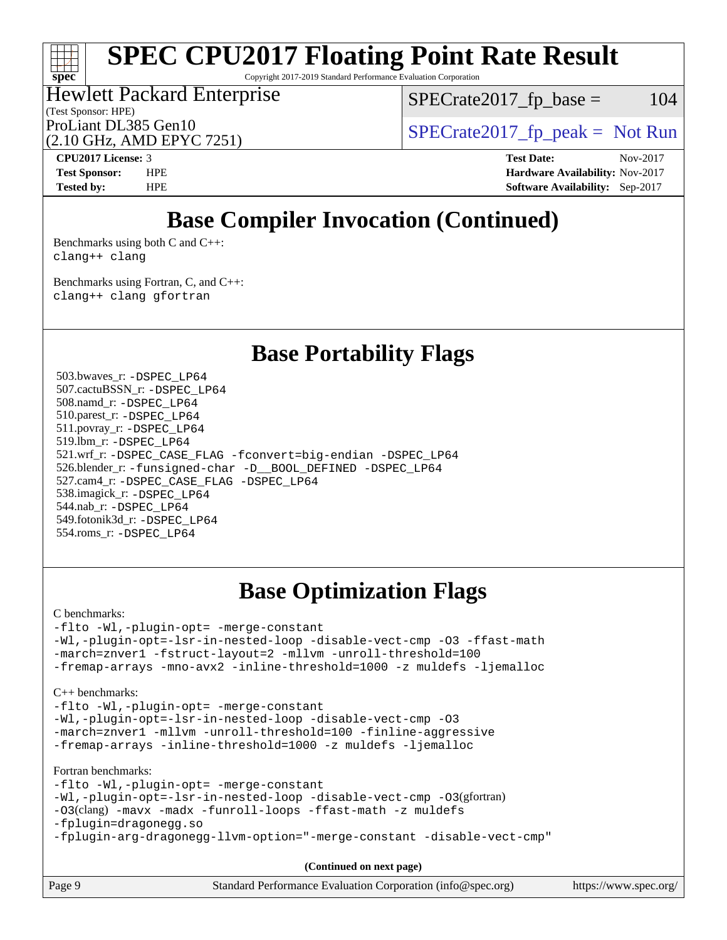Copyright 2017-2019 Standard Performance Evaluation Corporation

#### (Test Sponsor: HPE) Hewlett Packard Enterprise (2.10 GHz, AMD EPYC 7251) ProLiant DL385 Gen10  $SPECTR = 2017$  Spectrate 2017\_fp\_peak = Not Run

 $SPECTate2017<sub>fr</sub> base = 104$ 

**[CPU2017 License:](http://www.spec.org/auto/cpu2017/Docs/result-fields.html#CPU2017License)** 3 **[Test Date:](http://www.spec.org/auto/cpu2017/Docs/result-fields.html#TestDate)** Nov-2017

**[spec](http://www.spec.org/)**

**[Test Sponsor:](http://www.spec.org/auto/cpu2017/Docs/result-fields.html#TestSponsor)** HPE **[Hardware Availability:](http://www.spec.org/auto/cpu2017/Docs/result-fields.html#HardwareAvailability)** Nov-2017 **[Tested by:](http://www.spec.org/auto/cpu2017/Docs/result-fields.html#Testedby)** HPE **[Software Availability:](http://www.spec.org/auto/cpu2017/Docs/result-fields.html#SoftwareAvailability)** Sep-2017

### **[Base Compiler Invocation \(Continued\)](http://www.spec.org/auto/cpu2017/Docs/result-fields.html#BaseCompilerInvocation)**

[Benchmarks using both C and C++](http://www.spec.org/auto/cpu2017/Docs/result-fields.html#BenchmarksusingbothCandCXX): [clang++](http://www.spec.org/cpu2017/results/res2018q1/cpu2017-20171212-01650.flags.html#user_CC_CXXbase_Fclang3_57a48582e5be507d19b2527b3e7d4f85d9b8669ffc9a8a0dbb9bcf949a918a58bbab411e0c4d14a3922022a3e425a90db94042683824c1806feff4324ca1000d) [clang](http://www.spec.org/cpu2017/results/res2018q1/cpu2017-20171212-01650.flags.html#user_CC_CXXbase_Fclang3)

[Benchmarks using Fortran, C, and C++:](http://www.spec.org/auto/cpu2017/Docs/result-fields.html#BenchmarksusingFortranCandCXX) [clang++](http://www.spec.org/cpu2017/results/res2018q1/cpu2017-20171212-01650.flags.html#user_CC_CXX_FCbase_Fclang3_57a48582e5be507d19b2527b3e7d4f85d9b8669ffc9a8a0dbb9bcf949a918a58bbab411e0c4d14a3922022a3e425a90db94042683824c1806feff4324ca1000d) [clang](http://www.spec.org/cpu2017/results/res2018q1/cpu2017-20171212-01650.flags.html#user_CC_CXX_FCbase_Fclang3) [gfortran](http://www.spec.org/cpu2017/results/res2018q1/cpu2017-20171212-01650.flags.html#user_CC_CXX_FCbase_gfortran)

**[Base Portability Flags](http://www.spec.org/auto/cpu2017/Docs/result-fields.html#BasePortabilityFlags)**

 503.bwaves\_r: [-DSPEC\\_LP64](http://www.spec.org/cpu2017/results/res2018q1/cpu2017-20171212-01650.flags.html#suite_baseEXTRA_PORTABILITY503_bwaves_r_DSPEC_LP64) 507.cactuBSSN\_r: [-DSPEC\\_LP64](http://www.spec.org/cpu2017/results/res2018q1/cpu2017-20171212-01650.flags.html#suite_baseEXTRA_PORTABILITY507_cactuBSSN_r_DSPEC_LP64) 508.namd\_r: [-DSPEC\\_LP64](http://www.spec.org/cpu2017/results/res2018q1/cpu2017-20171212-01650.flags.html#suite_baseEXTRA_PORTABILITY508_namd_r_DSPEC_LP64) 510.parest\_r: [-DSPEC\\_LP64](http://www.spec.org/cpu2017/results/res2018q1/cpu2017-20171212-01650.flags.html#suite_baseEXTRA_PORTABILITY510_parest_r_DSPEC_LP64) 511.povray\_r: [-DSPEC\\_LP64](http://www.spec.org/cpu2017/results/res2018q1/cpu2017-20171212-01650.flags.html#suite_baseEXTRA_PORTABILITY511_povray_r_DSPEC_LP64) 519.lbm\_r: [-DSPEC\\_LP64](http://www.spec.org/cpu2017/results/res2018q1/cpu2017-20171212-01650.flags.html#suite_baseEXTRA_PORTABILITY519_lbm_r_DSPEC_LP64) 521.wrf\_r: [-DSPEC\\_CASE\\_FLAG](http://www.spec.org/cpu2017/results/res2018q1/cpu2017-20171212-01650.flags.html#b521.wrf_r_baseCPORTABILITY_DSPEC_CASE_FLAG) [-fconvert=big-endian](http://www.spec.org/cpu2017/results/res2018q1/cpu2017-20171212-01650.flags.html#user_baseFPORTABILITY521_wrf_r_F-fconvert:big-endian) [-DSPEC\\_LP64](http://www.spec.org/cpu2017/results/res2018q1/cpu2017-20171212-01650.flags.html#suite_baseEXTRA_PORTABILITY521_wrf_r_DSPEC_LP64) 526.blender\_r: [-funsigned-char](http://www.spec.org/cpu2017/results/res2018q1/cpu2017-20171212-01650.flags.html#user_baseCPORTABILITY526_blender_r_F-funsigned-char) [-D\\_\\_BOOL\\_DEFINED](http://www.spec.org/cpu2017/results/res2018q1/cpu2017-20171212-01650.flags.html#b526.blender_r_baseCXXPORTABILITY_D__BOOL_DEFINED) [-DSPEC\\_LP64](http://www.spec.org/cpu2017/results/res2018q1/cpu2017-20171212-01650.flags.html#suite_baseEXTRA_PORTABILITY526_blender_r_DSPEC_LP64) 527.cam4\_r: [-DSPEC\\_CASE\\_FLAG](http://www.spec.org/cpu2017/results/res2018q1/cpu2017-20171212-01650.flags.html#b527.cam4_r_basePORTABILITY_DSPEC_CASE_FLAG) [-DSPEC\\_LP64](http://www.spec.org/cpu2017/results/res2018q1/cpu2017-20171212-01650.flags.html#suite_baseEXTRA_PORTABILITY527_cam4_r_DSPEC_LP64) 538.imagick\_r: [-DSPEC\\_LP64](http://www.spec.org/cpu2017/results/res2018q1/cpu2017-20171212-01650.flags.html#suite_baseEXTRA_PORTABILITY538_imagick_r_DSPEC_LP64) 544.nab\_r: [-DSPEC\\_LP64](http://www.spec.org/cpu2017/results/res2018q1/cpu2017-20171212-01650.flags.html#suite_baseEXTRA_PORTABILITY544_nab_r_DSPEC_LP64) 549.fotonik3d\_r: [-DSPEC\\_LP64](http://www.spec.org/cpu2017/results/res2018q1/cpu2017-20171212-01650.flags.html#suite_baseEXTRA_PORTABILITY549_fotonik3d_r_DSPEC_LP64) 554.roms\_r: [-DSPEC\\_LP64](http://www.spec.org/cpu2017/results/res2018q1/cpu2017-20171212-01650.flags.html#suite_baseEXTRA_PORTABILITY554_roms_r_DSPEC_LP64)

### **[Base Optimization Flags](http://www.spec.org/auto/cpu2017/Docs/result-fields.html#BaseOptimizationFlags)**

[C benchmarks](http://www.spec.org/auto/cpu2017/Docs/result-fields.html#Cbenchmarks):

[-flto](http://www.spec.org/cpu2017/results/res2018q1/cpu2017-20171212-01650.flags.html#user_CCbase_F-flto) [-Wl,-plugin-opt=](http://www.spec.org/cpu2017/results/res2018q1/cpu2017-20171212-01650.flags.html#user_CCbase_F-Wl_e2cfa9303fa7177fc979b6ea3ac112b25cc1d9a704f985e64d2c1147a9a124d595124def755438d557d7af0b063540ac9f0d182cc4ce48e282e58f3688f96e17) [-merge-constant](http://www.spec.org/cpu2017/results/res2018q1/cpu2017-20171212-01650.flags.html#user_CCbase_F-merge-constant_bdb3ec75d21d5cf0ab1961ebe7105d0ea3b0c6d89a312cf7efc1d107e6c56c92c36b5d564d0702d1e2526f6b92f188b4413eb5a54b1f9e4a41f5a9bfc0233b92) [-Wl,-plugin-opt=-lsr-in-nested-loop](http://www.spec.org/cpu2017/results/res2018q1/cpu2017-20171212-01650.flags.html#user_CCbase_F-Wl_1cff93fd95162f5e77640b5271e8bed680fb62b4a8d96fb8ab217ff3244646f1fbb342e31af83c263403bbf5249c7dc7732d5c86c3eab4cc8d32dcb7a6f33ca0) [-disable-vect-cmp](http://www.spec.org/cpu2017/results/res2018q1/cpu2017-20171212-01650.flags.html#user_CCbase_F-disable-vect-cmp) [-O3](http://www.spec.org/cpu2017/results/res2018q1/cpu2017-20171212-01650.flags.html#user_CCbase_F-O3) [-ffast-math](http://www.spec.org/cpu2017/results/res2018q1/cpu2017-20171212-01650.flags.html#user_CCbase_F-ffast-math) [-march=znver1](http://www.spec.org/cpu2017/results/res2018q1/cpu2017-20171212-01650.flags.html#user_CCbase_march_082ab2c5e8f99f69c47c63adfdc26f9617958cc68d0b5dbfb7aa6935cde4c91d5d9c2fdc24e6781fa8a0299196f2f4ca8e995f825d797de797910507b4251bb3) [-fstruct-layout=2](http://www.spec.org/cpu2017/results/res2018q1/cpu2017-20171212-01650.flags.html#user_CCbase_F-fstruct-layout_a05ec02e17cdf7fe0c3950a6b005251b2b1e5e67af2b5298cf72714730c3d59ba290e75546b10aa22dac074c15ceaca36ae22c62cb51bcb2fbdc9dc4e7e222c4) [-mllvm](http://www.spec.org/cpu2017/results/res2018q1/cpu2017-20171212-01650.flags.html#user_CCbase_F-mllvm_76e3f86ef8d8cc4dfa84cec42d531db351fee284f72cd5d644b5bdbef9c2604296512be6a431d9e19d0523544399ea9dd745afc2fff755a0705d428460dc659e) [-unroll-threshold=100](http://www.spec.org/cpu2017/results/res2018q1/cpu2017-20171212-01650.flags.html#user_CCbase_F-unroll-threshold) [-fremap-arrays](http://www.spec.org/cpu2017/results/res2018q1/cpu2017-20171212-01650.flags.html#user_CCbase_F-fremap-arrays) [-mno-avx2](http://www.spec.org/cpu2017/results/res2018q1/cpu2017-20171212-01650.flags.html#user_CCbase_F-mno-avx2) [-inline-threshold=1000](http://www.spec.org/cpu2017/results/res2018q1/cpu2017-20171212-01650.flags.html#user_CCbase_F-inline-threshold_1daf3e0321a7a0c1ea19068c818f3f119b1e5dfc986cc791557791f4b93536c1546ba0c8585f62303269f504aa232e0ca278e8489928152e32e0752215741730) [-z muldefs](http://www.spec.org/cpu2017/results/res2018q1/cpu2017-20171212-01650.flags.html#user_CCbase_zmuldefs) [-ljemalloc](http://www.spec.org/cpu2017/results/res2018q1/cpu2017-20171212-01650.flags.html#user_CCbase_F-ljemalloc)

[C++ benchmarks:](http://www.spec.org/auto/cpu2017/Docs/result-fields.html#CXXbenchmarks)

[-flto](http://www.spec.org/cpu2017/results/res2018q1/cpu2017-20171212-01650.flags.html#user_CXXbase_F-flto) [-Wl,-plugin-opt=](http://www.spec.org/cpu2017/results/res2018q1/cpu2017-20171212-01650.flags.html#user_CXXbase_F-Wl_e2cfa9303fa7177fc979b6ea3ac112b25cc1d9a704f985e64d2c1147a9a124d595124def755438d557d7af0b063540ac9f0d182cc4ce48e282e58f3688f96e17) [-merge-constant](http://www.spec.org/cpu2017/results/res2018q1/cpu2017-20171212-01650.flags.html#user_CXXbase_F-merge-constant_bdb3ec75d21d5cf0ab1961ebe7105d0ea3b0c6d89a312cf7efc1d107e6c56c92c36b5d564d0702d1e2526f6b92f188b4413eb5a54b1f9e4a41f5a9bfc0233b92) [-Wl,-plugin-opt=-lsr-in-nested-loop](http://www.spec.org/cpu2017/results/res2018q1/cpu2017-20171212-01650.flags.html#user_CXXbase_F-Wl_1cff93fd95162f5e77640b5271e8bed680fb62b4a8d96fb8ab217ff3244646f1fbb342e31af83c263403bbf5249c7dc7732d5c86c3eab4cc8d32dcb7a6f33ca0) [-disable-vect-cmp](http://www.spec.org/cpu2017/results/res2018q1/cpu2017-20171212-01650.flags.html#user_CXXbase_F-disable-vect-cmp) [-O3](http://www.spec.org/cpu2017/results/res2018q1/cpu2017-20171212-01650.flags.html#user_CXXbase_F-O3) [-march=znver1](http://www.spec.org/cpu2017/results/res2018q1/cpu2017-20171212-01650.flags.html#user_CXXbase_march_082ab2c5e8f99f69c47c63adfdc26f9617958cc68d0b5dbfb7aa6935cde4c91d5d9c2fdc24e6781fa8a0299196f2f4ca8e995f825d797de797910507b4251bb3) [-mllvm](http://www.spec.org/cpu2017/results/res2018q1/cpu2017-20171212-01650.flags.html#user_CXXbase_F-mllvm_76e3f86ef8d8cc4dfa84cec42d531db351fee284f72cd5d644b5bdbef9c2604296512be6a431d9e19d0523544399ea9dd745afc2fff755a0705d428460dc659e) [-unroll-threshold=100](http://www.spec.org/cpu2017/results/res2018q1/cpu2017-20171212-01650.flags.html#user_CXXbase_F-unroll-threshold) [-finline-aggressive](http://www.spec.org/cpu2017/results/res2018q1/cpu2017-20171212-01650.flags.html#user_CXXbase_F-finline-aggressive) [-fremap-arrays](http://www.spec.org/cpu2017/results/res2018q1/cpu2017-20171212-01650.flags.html#user_CXXbase_F-fremap-arrays) [-inline-threshold=1000](http://www.spec.org/cpu2017/results/res2018q1/cpu2017-20171212-01650.flags.html#user_CXXbase_F-inline-threshold_1daf3e0321a7a0c1ea19068c818f3f119b1e5dfc986cc791557791f4b93536c1546ba0c8585f62303269f504aa232e0ca278e8489928152e32e0752215741730) [-z muldefs](http://www.spec.org/cpu2017/results/res2018q1/cpu2017-20171212-01650.flags.html#user_CXXbase_zmuldefs) [-ljemalloc](http://www.spec.org/cpu2017/results/res2018q1/cpu2017-20171212-01650.flags.html#user_CXXbase_F-ljemalloc)

[Fortran benchmarks](http://www.spec.org/auto/cpu2017/Docs/result-fields.html#Fortranbenchmarks):

[-flto](http://www.spec.org/cpu2017/results/res2018q1/cpu2017-20171212-01650.flags.html#user_FCbase_F-flto) [-Wl,-plugin-opt=](http://www.spec.org/cpu2017/results/res2018q1/cpu2017-20171212-01650.flags.html#user_FCbase_F-Wl_e2cfa9303fa7177fc979b6ea3ac112b25cc1d9a704f985e64d2c1147a9a124d595124def755438d557d7af0b063540ac9f0d182cc4ce48e282e58f3688f96e17) [-merge-constant](http://www.spec.org/cpu2017/results/res2018q1/cpu2017-20171212-01650.flags.html#user_FCbase_F-merge-constant_bdb3ec75d21d5cf0ab1961ebe7105d0ea3b0c6d89a312cf7efc1d107e6c56c92c36b5d564d0702d1e2526f6b92f188b4413eb5a54b1f9e4a41f5a9bfc0233b92) [-Wl,-plugin-opt=-lsr-in-nested-loop](http://www.spec.org/cpu2017/results/res2018q1/cpu2017-20171212-01650.flags.html#user_FCbase_F-Wl_1cff93fd95162f5e77640b5271e8bed680fb62b4a8d96fb8ab217ff3244646f1fbb342e31af83c263403bbf5249c7dc7732d5c86c3eab4cc8d32dcb7a6f33ca0) [-disable-vect-cmp](http://www.spec.org/cpu2017/results/res2018q1/cpu2017-20171212-01650.flags.html#user_FCbase_F-disable-vect-cmp) [-O3](http://www.spec.org/cpu2017/results/res2018q1/cpu2017-20171212-01650.flags.html#user_FCbase_Olevel-gcc_2a8c613e11e2962ae78d693398304d6f1c12fa10320380cff05dd109643c60bb04214353a55f02d8022371d19f6dd940085da69c3a4516b2b7029e64f867e782)(gfortran) [-O3](http://www.spec.org/cpu2017/results/res2018q1/cpu2017-20171212-01650.flags.html#user_FCbase_F-O3)(clang) [-mavx](http://www.spec.org/cpu2017/results/res2018q1/cpu2017-20171212-01650.flags.html#user_FCbase_F-mavx) [-madx](http://www.spec.org/cpu2017/results/res2018q1/cpu2017-20171212-01650.flags.html#user_FCbase_F-madx) [-funroll-loops](http://www.spec.org/cpu2017/results/res2018q1/cpu2017-20171212-01650.flags.html#user_FCbase_F-funroll-loops) [-ffast-math](http://www.spec.org/cpu2017/results/res2018q1/cpu2017-20171212-01650.flags.html#user_FCbase_F-ffast-math) [-z muldefs](http://www.spec.org/cpu2017/results/res2018q1/cpu2017-20171212-01650.flags.html#user_FCbase_zmuldefs) [-fplugin=dragonegg.so](http://www.spec.org/cpu2017/results/res2018q1/cpu2017-20171212-01650.flags.html#user_FCbase_fplugin_58c2a63f89003737c9fd803d0c3796dc72d5241339c21541e40b94820d6cd0cfe16967716335872d62513842fcd74342ff6b09f66685f00172b97f92c3a7df41) [-fplugin-arg-dragonegg-llvm-option="-merge-constant](http://www.spec.org/cpu2017/results/res2018q1/cpu2017-20171212-01650.flags.html#user_FCbase_F-fplugin-arg-dragonegg-llvm-option_2c2b42da402f5ce12c9400df40907135700f5e616ca8020360a050fb3470fbc722460411e768b26aabceda8cc86abb5adeb37be6db72f976961b6ba501bc7ca5) [-disable-vect-cmp"](http://www.spec.org/cpu2017/results/res2018q1/cpu2017-20171212-01650.flags.html#user_FCbase_F-dragonegg-llvm-disable-vect-cmp_6cf351a29613b68bfdbd040d3e22ab0ce250093fe1c4f1b0b3e19cc513bf9fe59893782c14402abfbebd018ed2d47d139a1a3c59a802b3eac454540228820b23)

**(Continued on next page)**

|  | Page ! | Standard Performance Evaluation Corporation (info@spec.org) | https://www.spec.org/ |
|--|--------|-------------------------------------------------------------|-----------------------|
|--|--------|-------------------------------------------------------------|-----------------------|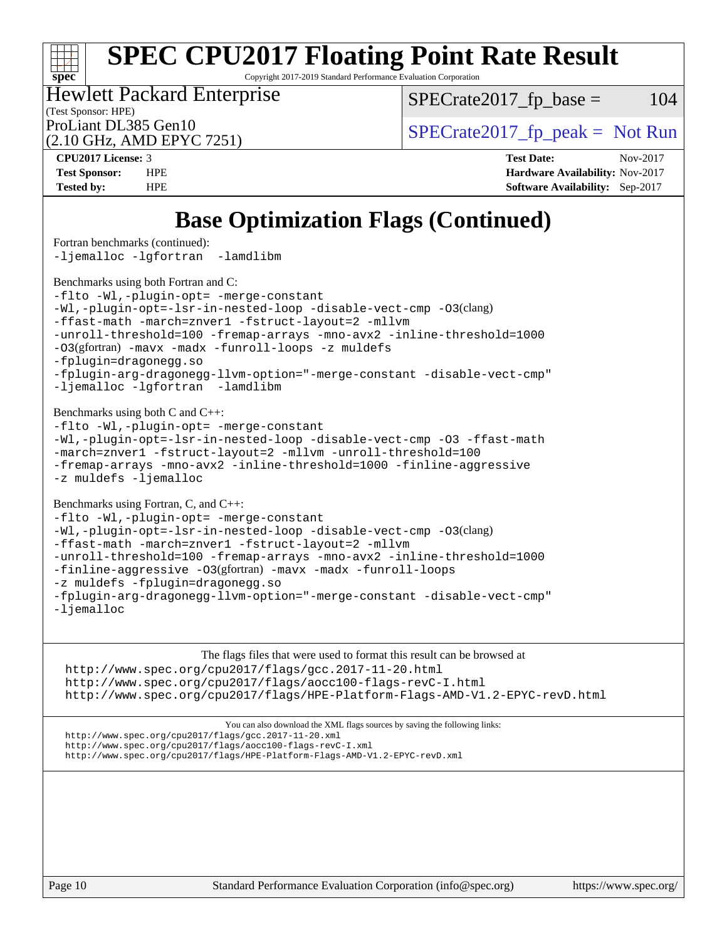Copyright 2017-2019 Standard Performance Evaluation Corporation

(Test Sponsor: HPE) Hewlett Packard Enterprise

 $SPECTate2017<sub>fr</sub> base = 104$ 

(2.10 GHz, AMD EPYC 7251)

**[spec](http://www.spec.org/)**

 $\pm r$ 

ProLiant DL385 Gen10  $SPECTR = 2017$  Spectrate 2017\_fp\_peak = Not Run **[CPU2017 License:](http://www.spec.org/auto/cpu2017/Docs/result-fields.html#CPU2017License)** 3 **[Test Date:](http://www.spec.org/auto/cpu2017/Docs/result-fields.html#TestDate)** Nov-2017

**[Test Sponsor:](http://www.spec.org/auto/cpu2017/Docs/result-fields.html#TestSponsor)** HPE **[Hardware Availability:](http://www.spec.org/auto/cpu2017/Docs/result-fields.html#HardwareAvailability)** Nov-2017 **[Tested by:](http://www.spec.org/auto/cpu2017/Docs/result-fields.html#Testedby)** HPE **[Software Availability:](http://www.spec.org/auto/cpu2017/Docs/result-fields.html#SoftwareAvailability)** Sep-2017

### **[Base Optimization Flags \(Continued\)](http://www.spec.org/auto/cpu2017/Docs/result-fields.html#BaseOptimizationFlags)**

[Fortran benchmarks](http://www.spec.org/auto/cpu2017/Docs/result-fields.html#Fortranbenchmarks) (continued): [-ljemalloc](http://www.spec.org/cpu2017/results/res2018q1/cpu2017-20171212-01650.flags.html#user_FCbase_F-ljemalloc) [-lgfortran](http://www.spec.org/cpu2017/results/res2018q1/cpu2017-20171212-01650.flags.html#user_FCbase_F-lgfortran_aee53aa7918ae35ea4e5035d616421204ae8a638c05873868b1aa8743e73ef3f738c1d9cddaea8bce7f96e18015ec2f72d6588008f90a113075c46bd34a5e3c3) [-lamdlibm](http://www.spec.org/cpu2017/results/res2018q1/cpu2017-20171212-01650.flags.html#user_FCbase_F-lamdlibm_1db3d84841b8a1b4efe9441895380ccb52ec69ae4c885fce609f880d1f58d8b3c2693ad984247faf1d5c0b0abc492f2987ed2911d4dbfc830003ff87fe5a2273)  [Benchmarks using both Fortran and C](http://www.spec.org/auto/cpu2017/Docs/result-fields.html#BenchmarksusingbothFortranandC): [-flto](http://www.spec.org/cpu2017/results/res2018q1/cpu2017-20171212-01650.flags.html#user_CC_FCbase_F-flto) [-Wl,-plugin-opt=](http://www.spec.org/cpu2017/results/res2018q1/cpu2017-20171212-01650.flags.html#user_CC_FCbase_F-Wl_e2cfa9303fa7177fc979b6ea3ac112b25cc1d9a704f985e64d2c1147a9a124d595124def755438d557d7af0b063540ac9f0d182cc4ce48e282e58f3688f96e17) [-merge-constant](http://www.spec.org/cpu2017/results/res2018q1/cpu2017-20171212-01650.flags.html#user_CC_FCbase_F-merge-constant_bdb3ec75d21d5cf0ab1961ebe7105d0ea3b0c6d89a312cf7efc1d107e6c56c92c36b5d564d0702d1e2526f6b92f188b4413eb5a54b1f9e4a41f5a9bfc0233b92) [-Wl,-plugin-opt=-lsr-in-nested-loop](http://www.spec.org/cpu2017/results/res2018q1/cpu2017-20171212-01650.flags.html#user_CC_FCbase_F-Wl_1cff93fd95162f5e77640b5271e8bed680fb62b4a8d96fb8ab217ff3244646f1fbb342e31af83c263403bbf5249c7dc7732d5c86c3eab4cc8d32dcb7a6f33ca0) [-disable-vect-cmp](http://www.spec.org/cpu2017/results/res2018q1/cpu2017-20171212-01650.flags.html#user_CC_FCbase_F-disable-vect-cmp) [-O3](http://www.spec.org/cpu2017/results/res2018q1/cpu2017-20171212-01650.flags.html#user_CC_FCbase_F-O3)(clang) [-ffast-math](http://www.spec.org/cpu2017/results/res2018q1/cpu2017-20171212-01650.flags.html#user_CC_FCbase_F-ffast-math) [-march=znver1](http://www.spec.org/cpu2017/results/res2018q1/cpu2017-20171212-01650.flags.html#user_CC_FCbase_march_082ab2c5e8f99f69c47c63adfdc26f9617958cc68d0b5dbfb7aa6935cde4c91d5d9c2fdc24e6781fa8a0299196f2f4ca8e995f825d797de797910507b4251bb3) [-fstruct-layout=2](http://www.spec.org/cpu2017/results/res2018q1/cpu2017-20171212-01650.flags.html#user_CC_FCbase_F-fstruct-layout_a05ec02e17cdf7fe0c3950a6b005251b2b1e5e67af2b5298cf72714730c3d59ba290e75546b10aa22dac074c15ceaca36ae22c62cb51bcb2fbdc9dc4e7e222c4) [-mllvm](http://www.spec.org/cpu2017/results/res2018q1/cpu2017-20171212-01650.flags.html#user_CC_FCbase_F-mllvm_76e3f86ef8d8cc4dfa84cec42d531db351fee284f72cd5d644b5bdbef9c2604296512be6a431d9e19d0523544399ea9dd745afc2fff755a0705d428460dc659e) [-unroll-threshold=100](http://www.spec.org/cpu2017/results/res2018q1/cpu2017-20171212-01650.flags.html#user_CC_FCbase_F-unroll-threshold) [-fremap-arrays](http://www.spec.org/cpu2017/results/res2018q1/cpu2017-20171212-01650.flags.html#user_CC_FCbase_F-fremap-arrays) [-mno-avx2](http://www.spec.org/cpu2017/results/res2018q1/cpu2017-20171212-01650.flags.html#user_CC_FCbase_F-mno-avx2) [-inline-threshold=1000](http://www.spec.org/cpu2017/results/res2018q1/cpu2017-20171212-01650.flags.html#user_CC_FCbase_F-inline-threshold_1daf3e0321a7a0c1ea19068c818f3f119b1e5dfc986cc791557791f4b93536c1546ba0c8585f62303269f504aa232e0ca278e8489928152e32e0752215741730) [-O3](http://www.spec.org/cpu2017/results/res2018q1/cpu2017-20171212-01650.flags.html#user_CC_FCbase_Olevel-gcc_2a8c613e11e2962ae78d693398304d6f1c12fa10320380cff05dd109643c60bb04214353a55f02d8022371d19f6dd940085da69c3a4516b2b7029e64f867e782)(gfortran) [-mavx](http://www.spec.org/cpu2017/results/res2018q1/cpu2017-20171212-01650.flags.html#user_CC_FCbase_F-mavx) [-madx](http://www.spec.org/cpu2017/results/res2018q1/cpu2017-20171212-01650.flags.html#user_CC_FCbase_F-madx) [-funroll-loops](http://www.spec.org/cpu2017/results/res2018q1/cpu2017-20171212-01650.flags.html#user_CC_FCbase_F-funroll-loops) [-z muldefs](http://www.spec.org/cpu2017/results/res2018q1/cpu2017-20171212-01650.flags.html#user_CC_FCbase_zmuldefs) [-fplugin=dragonegg.so](http://www.spec.org/cpu2017/results/res2018q1/cpu2017-20171212-01650.flags.html#user_CC_FCbase_fplugin_58c2a63f89003737c9fd803d0c3796dc72d5241339c21541e40b94820d6cd0cfe16967716335872d62513842fcd74342ff6b09f66685f00172b97f92c3a7df41) [-fplugin-arg-dragonegg-llvm-option="-merge-constant](http://www.spec.org/cpu2017/results/res2018q1/cpu2017-20171212-01650.flags.html#user_CC_FCbase_F-fplugin-arg-dragonegg-llvm-option_2c2b42da402f5ce12c9400df40907135700f5e616ca8020360a050fb3470fbc722460411e768b26aabceda8cc86abb5adeb37be6db72f976961b6ba501bc7ca5) [-disable-vect-cmp"](http://www.spec.org/cpu2017/results/res2018q1/cpu2017-20171212-01650.flags.html#user_CC_FCbase_F-dragonegg-llvm-disable-vect-cmp_6cf351a29613b68bfdbd040d3e22ab0ce250093fe1c4f1b0b3e19cc513bf9fe59893782c14402abfbebd018ed2d47d139a1a3c59a802b3eac454540228820b23) [-ljemalloc](http://www.spec.org/cpu2017/results/res2018q1/cpu2017-20171212-01650.flags.html#user_CC_FCbase_F-ljemalloc) [-lgfortran](http://www.spec.org/cpu2017/results/res2018q1/cpu2017-20171212-01650.flags.html#user_CC_FCbase_F-lgfortran_aee53aa7918ae35ea4e5035d616421204ae8a638c05873868b1aa8743e73ef3f738c1d9cddaea8bce7f96e18015ec2f72d6588008f90a113075c46bd34a5e3c3) [-lamdlibm](http://www.spec.org/cpu2017/results/res2018q1/cpu2017-20171212-01650.flags.html#user_CC_FCbase_F-lamdlibm_1db3d84841b8a1b4efe9441895380ccb52ec69ae4c885fce609f880d1f58d8b3c2693ad984247faf1d5c0b0abc492f2987ed2911d4dbfc830003ff87fe5a2273)  [Benchmarks using both C and C++](http://www.spec.org/auto/cpu2017/Docs/result-fields.html#BenchmarksusingbothCandCXX): [-flto](http://www.spec.org/cpu2017/results/res2018q1/cpu2017-20171212-01650.flags.html#user_CC_CXXbase_F-flto) [-Wl,-plugin-opt=](http://www.spec.org/cpu2017/results/res2018q1/cpu2017-20171212-01650.flags.html#user_CC_CXXbase_F-Wl_e2cfa9303fa7177fc979b6ea3ac112b25cc1d9a704f985e64d2c1147a9a124d595124def755438d557d7af0b063540ac9f0d182cc4ce48e282e58f3688f96e17) [-merge-constant](http://www.spec.org/cpu2017/results/res2018q1/cpu2017-20171212-01650.flags.html#user_CC_CXXbase_F-merge-constant_bdb3ec75d21d5cf0ab1961ebe7105d0ea3b0c6d89a312cf7efc1d107e6c56c92c36b5d564d0702d1e2526f6b92f188b4413eb5a54b1f9e4a41f5a9bfc0233b92) [-Wl,-plugin-opt=-lsr-in-nested-loop](http://www.spec.org/cpu2017/results/res2018q1/cpu2017-20171212-01650.flags.html#user_CC_CXXbase_F-Wl_1cff93fd95162f5e77640b5271e8bed680fb62b4a8d96fb8ab217ff3244646f1fbb342e31af83c263403bbf5249c7dc7732d5c86c3eab4cc8d32dcb7a6f33ca0) [-disable-vect-cmp](http://www.spec.org/cpu2017/results/res2018q1/cpu2017-20171212-01650.flags.html#user_CC_CXXbase_F-disable-vect-cmp) [-O3](http://www.spec.org/cpu2017/results/res2018q1/cpu2017-20171212-01650.flags.html#user_CC_CXXbase_F-O3) [-ffast-math](http://www.spec.org/cpu2017/results/res2018q1/cpu2017-20171212-01650.flags.html#user_CC_CXXbase_F-ffast-math) [-march=znver1](http://www.spec.org/cpu2017/results/res2018q1/cpu2017-20171212-01650.flags.html#user_CC_CXXbase_march_082ab2c5e8f99f69c47c63adfdc26f9617958cc68d0b5dbfb7aa6935cde4c91d5d9c2fdc24e6781fa8a0299196f2f4ca8e995f825d797de797910507b4251bb3) [-fstruct-layout=2](http://www.spec.org/cpu2017/results/res2018q1/cpu2017-20171212-01650.flags.html#user_CC_CXXbase_F-fstruct-layout_a05ec02e17cdf7fe0c3950a6b005251b2b1e5e67af2b5298cf72714730c3d59ba290e75546b10aa22dac074c15ceaca36ae22c62cb51bcb2fbdc9dc4e7e222c4) [-mllvm](http://www.spec.org/cpu2017/results/res2018q1/cpu2017-20171212-01650.flags.html#user_CC_CXXbase_F-mllvm_76e3f86ef8d8cc4dfa84cec42d531db351fee284f72cd5d644b5bdbef9c2604296512be6a431d9e19d0523544399ea9dd745afc2fff755a0705d428460dc659e) [-unroll-threshold=100](http://www.spec.org/cpu2017/results/res2018q1/cpu2017-20171212-01650.flags.html#user_CC_CXXbase_F-unroll-threshold) [-fremap-arrays](http://www.spec.org/cpu2017/results/res2018q1/cpu2017-20171212-01650.flags.html#user_CC_CXXbase_F-fremap-arrays) [-mno-avx2](http://www.spec.org/cpu2017/results/res2018q1/cpu2017-20171212-01650.flags.html#user_CC_CXXbase_F-mno-avx2) [-inline-threshold=1000](http://www.spec.org/cpu2017/results/res2018q1/cpu2017-20171212-01650.flags.html#user_CC_CXXbase_F-inline-threshold_1daf3e0321a7a0c1ea19068c818f3f119b1e5dfc986cc791557791f4b93536c1546ba0c8585f62303269f504aa232e0ca278e8489928152e32e0752215741730) [-finline-aggressive](http://www.spec.org/cpu2017/results/res2018q1/cpu2017-20171212-01650.flags.html#user_CC_CXXbase_F-finline-aggressive) [-z muldefs](http://www.spec.org/cpu2017/results/res2018q1/cpu2017-20171212-01650.flags.html#user_CC_CXXbase_zmuldefs) [-ljemalloc](http://www.spec.org/cpu2017/results/res2018q1/cpu2017-20171212-01650.flags.html#user_CC_CXXbase_F-ljemalloc) [Benchmarks using Fortran, C, and C++:](http://www.spec.org/auto/cpu2017/Docs/result-fields.html#BenchmarksusingFortranCandCXX) [-flto](http://www.spec.org/cpu2017/results/res2018q1/cpu2017-20171212-01650.flags.html#user_CC_CXX_FCbase_F-flto) [-Wl,-plugin-opt=](http://www.spec.org/cpu2017/results/res2018q1/cpu2017-20171212-01650.flags.html#user_CC_CXX_FCbase_F-Wl_e2cfa9303fa7177fc979b6ea3ac112b25cc1d9a704f985e64d2c1147a9a124d595124def755438d557d7af0b063540ac9f0d182cc4ce48e282e58f3688f96e17) [-merge-constant](http://www.spec.org/cpu2017/results/res2018q1/cpu2017-20171212-01650.flags.html#user_CC_CXX_FCbase_F-merge-constant_bdb3ec75d21d5cf0ab1961ebe7105d0ea3b0c6d89a312cf7efc1d107e6c56c92c36b5d564d0702d1e2526f6b92f188b4413eb5a54b1f9e4a41f5a9bfc0233b92) [-Wl,-plugin-opt=-lsr-in-nested-loop](http://www.spec.org/cpu2017/results/res2018q1/cpu2017-20171212-01650.flags.html#user_CC_CXX_FCbase_F-Wl_1cff93fd95162f5e77640b5271e8bed680fb62b4a8d96fb8ab217ff3244646f1fbb342e31af83c263403bbf5249c7dc7732d5c86c3eab4cc8d32dcb7a6f33ca0) [-disable-vect-cmp](http://www.spec.org/cpu2017/results/res2018q1/cpu2017-20171212-01650.flags.html#user_CC_CXX_FCbase_F-disable-vect-cmp) [-O3](http://www.spec.org/cpu2017/results/res2018q1/cpu2017-20171212-01650.flags.html#user_CC_CXX_FCbase_F-O3)(clang) [-ffast-math](http://www.spec.org/cpu2017/results/res2018q1/cpu2017-20171212-01650.flags.html#user_CC_CXX_FCbase_F-ffast-math) [-march=znver1](http://www.spec.org/cpu2017/results/res2018q1/cpu2017-20171212-01650.flags.html#user_CC_CXX_FCbase_march_082ab2c5e8f99f69c47c63adfdc26f9617958cc68d0b5dbfb7aa6935cde4c91d5d9c2fdc24e6781fa8a0299196f2f4ca8e995f825d797de797910507b4251bb3) [-fstruct-layout=2](http://www.spec.org/cpu2017/results/res2018q1/cpu2017-20171212-01650.flags.html#user_CC_CXX_FCbase_F-fstruct-layout_a05ec02e17cdf7fe0c3950a6b005251b2b1e5e67af2b5298cf72714730c3d59ba290e75546b10aa22dac074c15ceaca36ae22c62cb51bcb2fbdc9dc4e7e222c4) [-mllvm](http://www.spec.org/cpu2017/results/res2018q1/cpu2017-20171212-01650.flags.html#user_CC_CXX_FCbase_F-mllvm_76e3f86ef8d8cc4dfa84cec42d531db351fee284f72cd5d644b5bdbef9c2604296512be6a431d9e19d0523544399ea9dd745afc2fff755a0705d428460dc659e) [-unroll-threshold=100](http://www.spec.org/cpu2017/results/res2018q1/cpu2017-20171212-01650.flags.html#user_CC_CXX_FCbase_F-unroll-threshold) [-fremap-arrays](http://www.spec.org/cpu2017/results/res2018q1/cpu2017-20171212-01650.flags.html#user_CC_CXX_FCbase_F-fremap-arrays) [-mno-avx2](http://www.spec.org/cpu2017/results/res2018q1/cpu2017-20171212-01650.flags.html#user_CC_CXX_FCbase_F-mno-avx2) [-inline-threshold=1000](http://www.spec.org/cpu2017/results/res2018q1/cpu2017-20171212-01650.flags.html#user_CC_CXX_FCbase_F-inline-threshold_1daf3e0321a7a0c1ea19068c818f3f119b1e5dfc986cc791557791f4b93536c1546ba0c8585f62303269f504aa232e0ca278e8489928152e32e0752215741730) [-finline-aggressive](http://www.spec.org/cpu2017/results/res2018q1/cpu2017-20171212-01650.flags.html#user_CC_CXX_FCbase_F-finline-aggressive) [-O3](http://www.spec.org/cpu2017/results/res2018q1/cpu2017-20171212-01650.flags.html#user_CC_CXX_FCbase_Olevel-gcc_2a8c613e11e2962ae78d693398304d6f1c12fa10320380cff05dd109643c60bb04214353a55f02d8022371d19f6dd940085da69c3a4516b2b7029e64f867e782)(gfortran) [-mavx](http://www.spec.org/cpu2017/results/res2018q1/cpu2017-20171212-01650.flags.html#user_CC_CXX_FCbase_F-mavx) [-madx](http://www.spec.org/cpu2017/results/res2018q1/cpu2017-20171212-01650.flags.html#user_CC_CXX_FCbase_F-madx) [-funroll-loops](http://www.spec.org/cpu2017/results/res2018q1/cpu2017-20171212-01650.flags.html#user_CC_CXX_FCbase_F-funroll-loops) [-z muldefs](http://www.spec.org/cpu2017/results/res2018q1/cpu2017-20171212-01650.flags.html#user_CC_CXX_FCbase_zmuldefs) [-fplugin=dragonegg.so](http://www.spec.org/cpu2017/results/res2018q1/cpu2017-20171212-01650.flags.html#user_CC_CXX_FCbase_fplugin_58c2a63f89003737c9fd803d0c3796dc72d5241339c21541e40b94820d6cd0cfe16967716335872d62513842fcd74342ff6b09f66685f00172b97f92c3a7df41) [-fplugin-arg-dragonegg-llvm-option="-merge-constant](http://www.spec.org/cpu2017/results/res2018q1/cpu2017-20171212-01650.flags.html#user_CC_CXX_FCbase_F-fplugin-arg-dragonegg-llvm-option_2c2b42da402f5ce12c9400df40907135700f5e616ca8020360a050fb3470fbc722460411e768b26aabceda8cc86abb5adeb37be6db72f976961b6ba501bc7ca5) [-disable-vect-cmp"](http://www.spec.org/cpu2017/results/res2018q1/cpu2017-20171212-01650.flags.html#user_CC_CXX_FCbase_F-dragonegg-llvm-disable-vect-cmp_6cf351a29613b68bfdbd040d3e22ab0ce250093fe1c4f1b0b3e19cc513bf9fe59893782c14402abfbebd018ed2d47d139a1a3c59a802b3eac454540228820b23) [-ljemalloc](http://www.spec.org/cpu2017/results/res2018q1/cpu2017-20171212-01650.flags.html#user_CC_CXX_FCbase_F-ljemalloc) The flags files that were used to format this result can be browsed at <http://www.spec.org/cpu2017/flags/gcc.2017-11-20.html> <http://www.spec.org/cpu2017/flags/aocc100-flags-revC-I.html> <http://www.spec.org/cpu2017/flags/HPE-Platform-Flags-AMD-V1.2-EPYC-revD.html> You can also download the XML flags sources by saving the following links: <http://www.spec.org/cpu2017/flags/gcc.2017-11-20.xml> <http://www.spec.org/cpu2017/flags/aocc100-flags-revC-I.xml> <http://www.spec.org/cpu2017/flags/HPE-Platform-Flags-AMD-V1.2-EPYC-revD.xml>